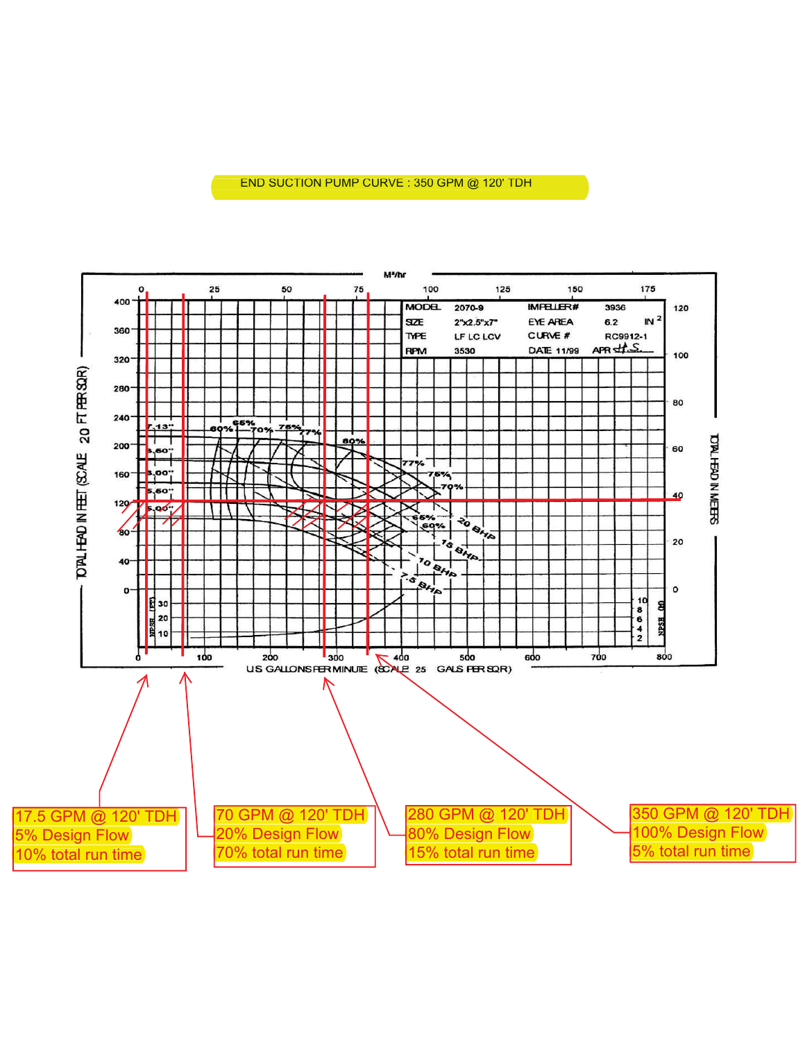# **LOC - 2009 - 2009 END SUCTION PUMP CURVE** : 350 GPM @ 120' TDH

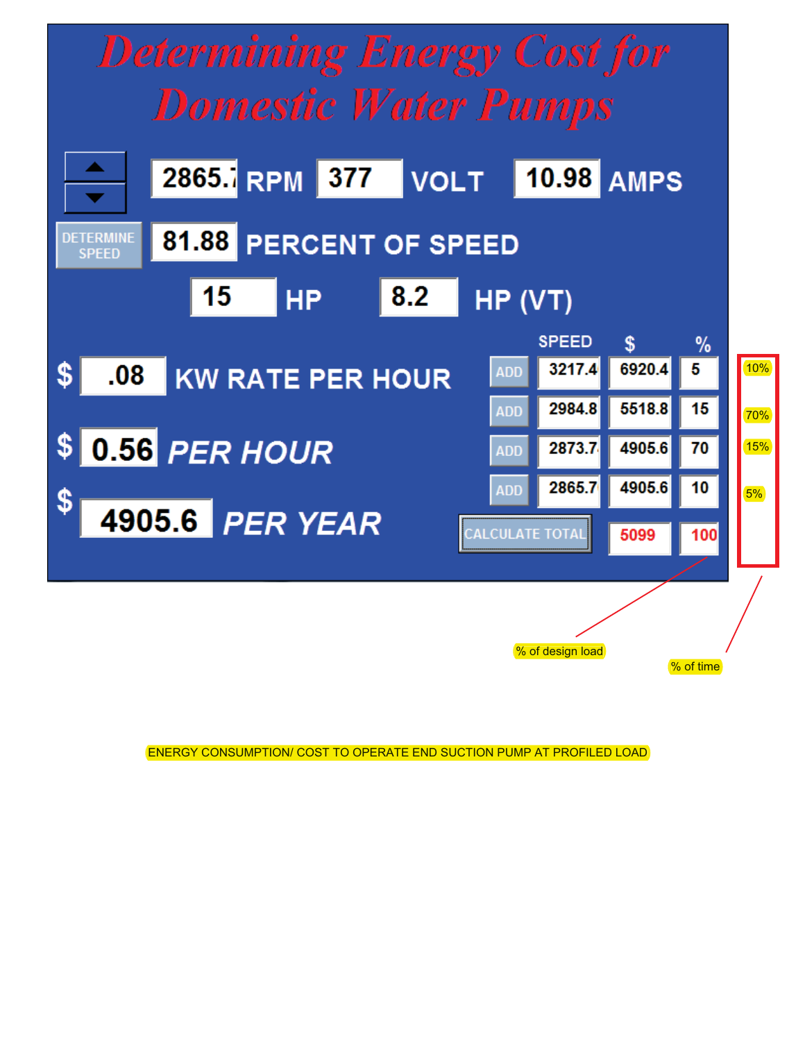

ENERGY CONSUMPTION/ COST TO OPERATE END SUCTION PUMP AT PROFILED LOAD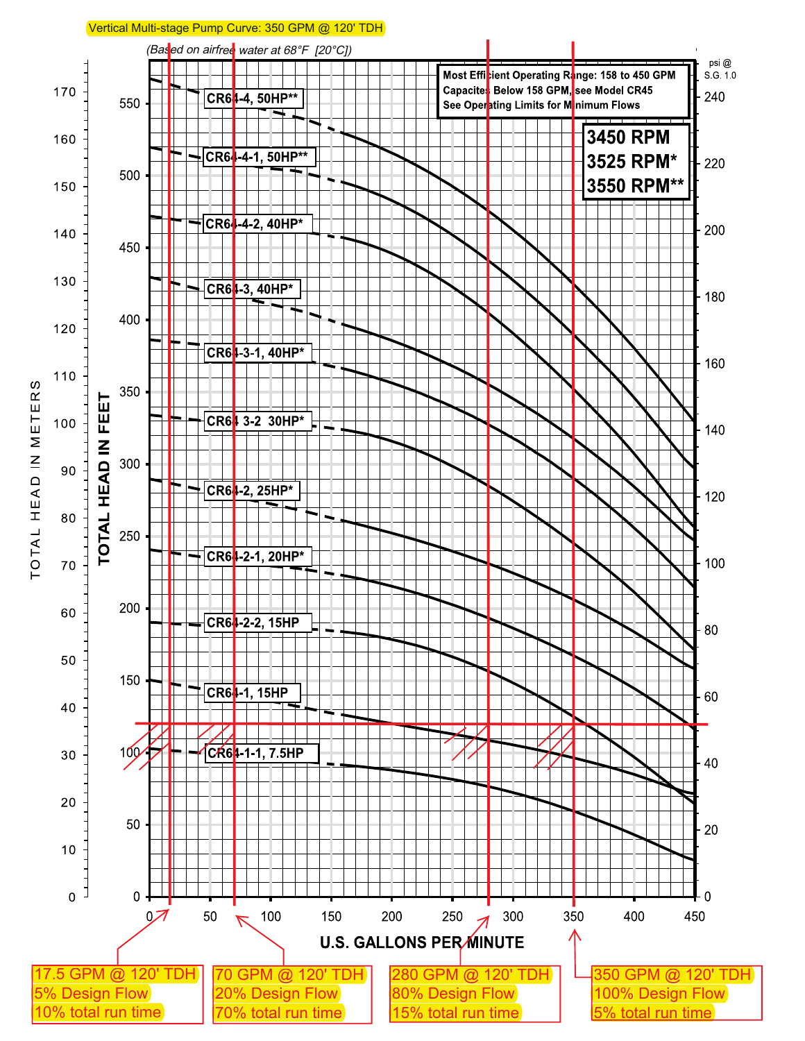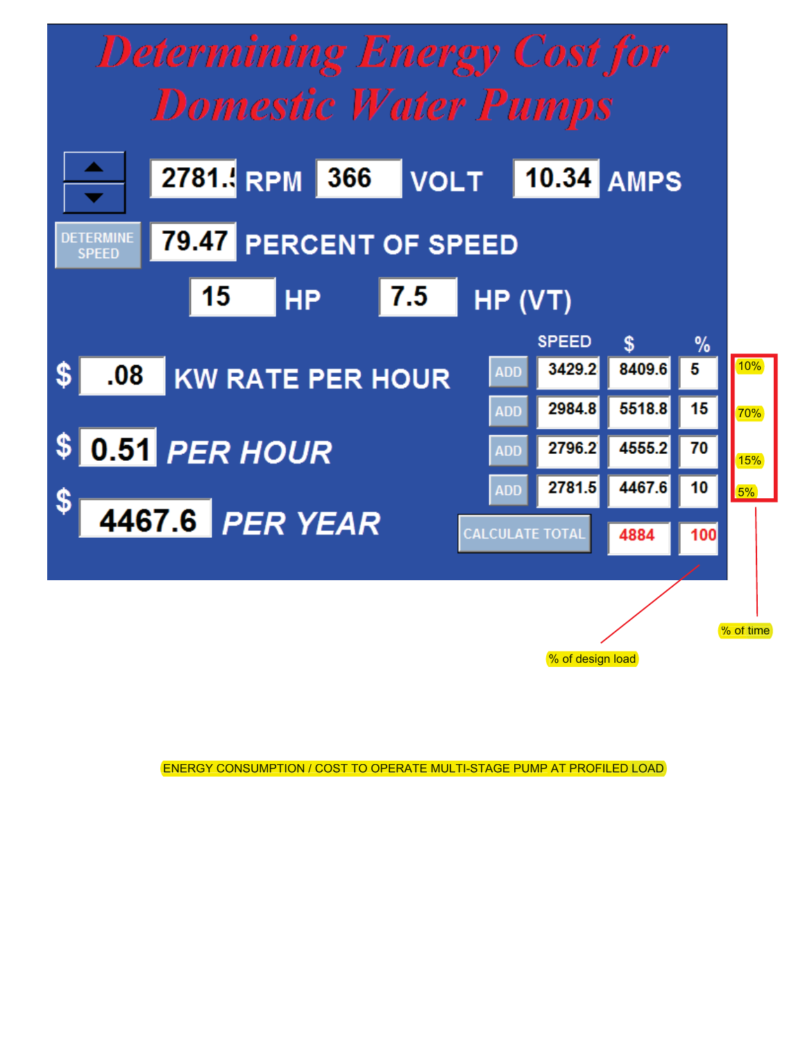

% of design load

**ENERGY CONSUMPTION / COST TO OPERATE MULTI-STAGE PUMP AT PROFILED LOAD**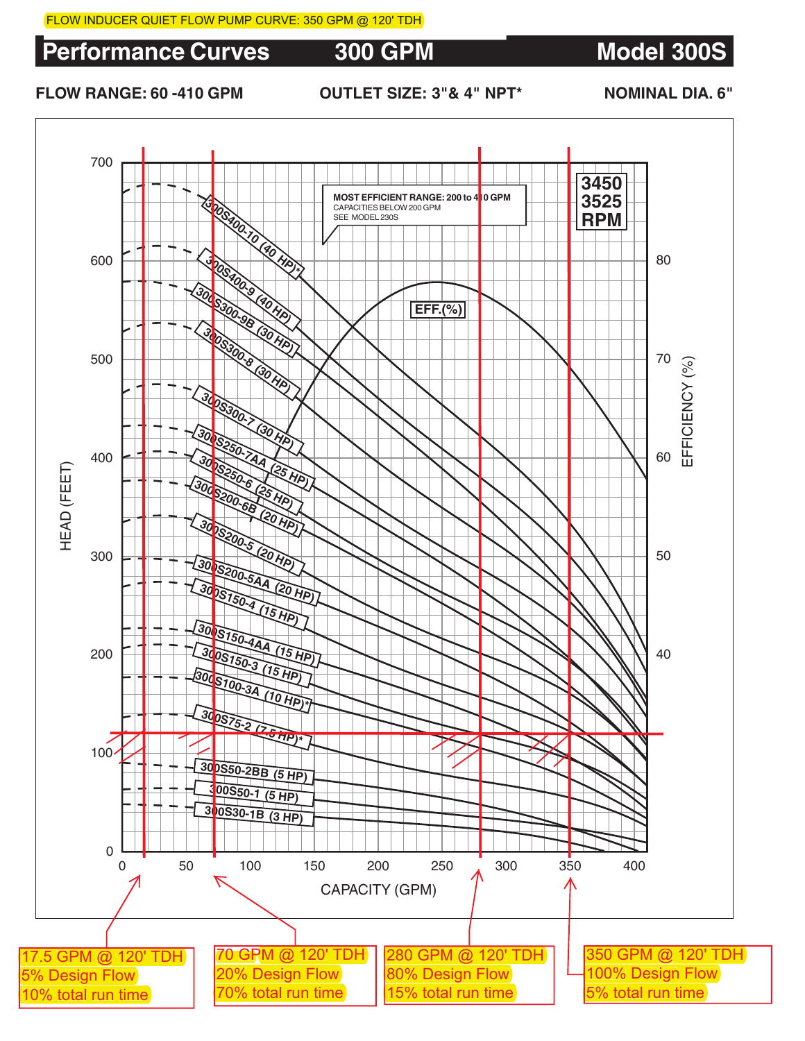**Performance Curves 300 GPM Model 300S** 

# **FLOW RANGE: 60 -410 GPM OUTLET SIZE: 3"& 4" NPT\* NOMINAL DIA. 6"**